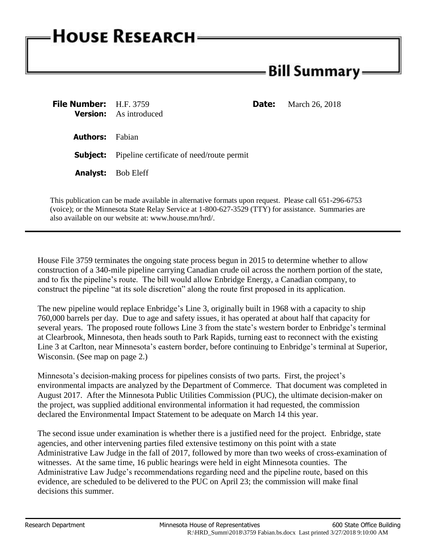## **HOUSE RESEARCH**

## - Bill Summary <del>.</del>

| <b>File Number:</b> H.F. 3759 | <b>Version:</b> As introduced                             | <b>Date:</b> | March 26, 2018 |
|-------------------------------|-----------------------------------------------------------|--------------|----------------|
| <b>Authors:</b> Fabian        |                                                           |              |                |
|                               | <b>Subject:</b> Pipeline certificate of need/route permit |              |                |
|                               | <b>Analyst:</b> Bob Eleff                                 |              |                |
|                               |                                                           |              |                |

This publication can be made available in alternative formats upon request. Please call 651-296-6753 (voice); or the Minnesota State Relay Service at 1-800-627-3529 (TTY) for assistance. Summaries are also available on our website at: www.house.mn/hrd/.

House File 3759 terminates the ongoing state process begun in 2015 to determine whether to allow construction of a 340-mile pipeline carrying Canadian crude oil across the northern portion of the state, and to fix the pipeline's route. The bill would allow Enbridge Energy, a Canadian company, to construct the pipeline "at its sole discretion" along the route first proposed in its application.

The new pipeline would replace Enbridge's Line 3, originally built in 1968 with a capacity to ship 760,000 barrels per day. Due to age and safety issues, it has operated at about half that capacity for several years. The proposed route follows Line 3 from the state's western border to Enbridge's terminal at Clearbrook, Minnesota, then heads south to Park Rapids, turning east to reconnect with the existing Line 3 at Carlton, near Minnesota's eastern border, before continuing to Enbridge's terminal at Superior, Wisconsin. (See map on page 2.)

Minnesota's decision-making process for pipelines consists of two parts. First, the project's environmental impacts are analyzed by the Department of Commerce. That document was completed in August 2017. After the Minnesota Public Utilities Commission (PUC), the ultimate decision-maker on the project, was supplied additional environmental information it had requested, the commission declared the Environmental Impact Statement to be adequate on March 14 this year.

The second issue under examination is whether there is a justified need for the project. Enbridge, state agencies, and other intervening parties filed extensive testimony on this point with a state Administrative Law Judge in the fall of 2017, followed by more than two weeks of cross-examination of witnesses. At the same time, 16 public hearings were held in eight Minnesota counties. The Administrative Law Judge's recommendations regarding need and the pipeline route, based on this evidence, are scheduled to be delivered to the PUC on April 23; the commission will make final decisions this summer.